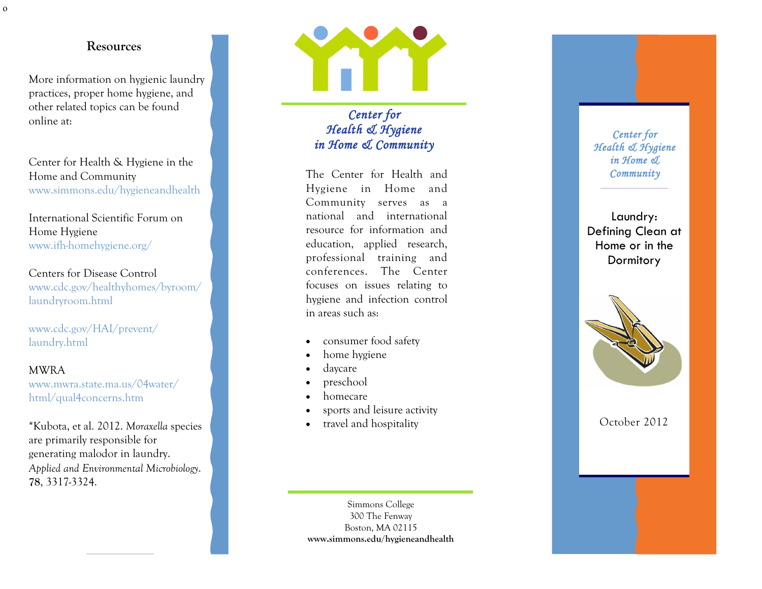# **Resources**

o

More information on hygienic laundry practices, proper home hygiene, and other related topics can be found online at:

Center for Health & Hygiene in the Home and Community www.simmons.edu/hygieneandhealth

International Scientific Forum on Home Hygiene www.ifh-homehygiene.org/

Centers for Disease Control www.cdc.gov/healthyhomes/byroom/ laundryroom.html

www.cdc.gov/HAI/prevent/ laundry.html

MWRA www.mwra.state.ma.us/04water/ html/qual4concerns.htm

\*Kubota, et al. 2012. *Moraxella* species are primarily responsible for generating malodor in laundry. *Applied and Environmental Microbiology* . **78**, 3317-3324.



*Center for Health & Hygiene in Home & Community* 

The Center for Health and Hygiene in Home and Community serves as a national and international resource for information and education, applied research, professional training and conferences. The Center focuses on issues relating to hygiene and infection control in areas such as:

- consumer food safety
- home hygiene
- daycare
- preschool
- homecare
- sports and leisure activity
- travel and hospitality

Simmons College 300 The Fenway Boston, MA 02115 www.simmons.edu/hygieneandhealth

*Center for Health & Hygiene in Home & Community* 

Laundry: Defining Clean at Home or in the **Dormitory** 



October 2012